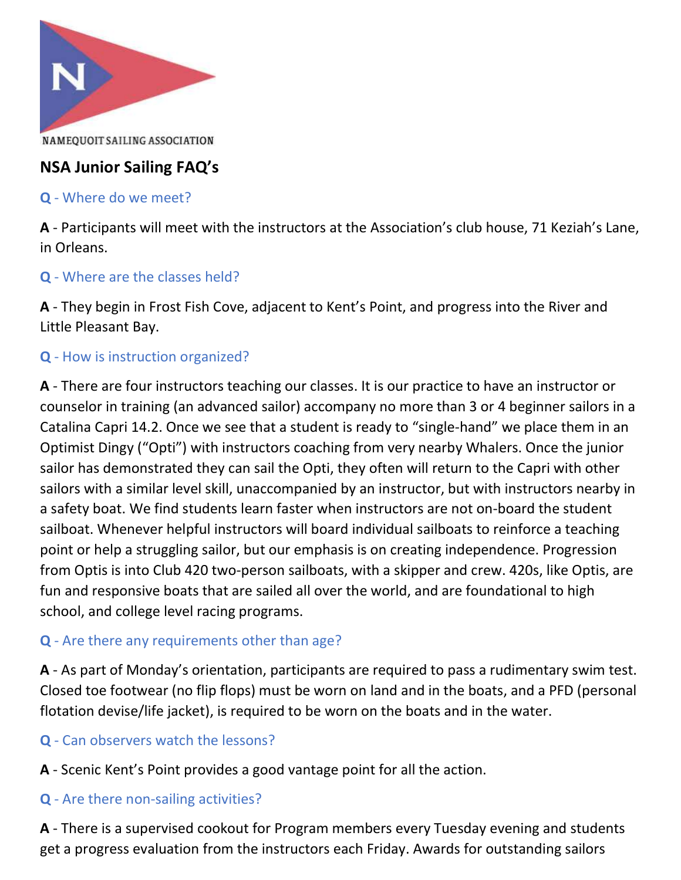

# NSA Junior Sailing FAQ's

#### Q - Where do we meet?

A - Participants will meet with the instructors at the Association's club house, 71 Keziah's Lane, in Orleans.

### Q - Where are the classes held?

A - They begin in Frost Fish Cove, adjacent to Kent's Point, and progress into the River and Little Pleasant Bay.

# Q - How is instruction organized?

A - There are four instructors teaching our classes. It is our practice to have an instructor or counselor in training (an advanced sailor) accompany no more than 3 or 4 beginner sailors in a Catalina Capri 14.2. Once we see that a student is ready to "single-hand" we place them in an Optimist Dingy ("Opti") with instructors coaching from very nearby Whalers. Once the junior sailor has demonstrated they can sail the Opti, they often will return to the Capri with other sailors with a similar level skill, unaccompanied by an instructor, but with instructors nearby in a safety boat. We find students learn faster when instructors are not on-board the student sailboat. Whenever helpful instructors will board individual sailboats to reinforce a teaching point or help a struggling sailor, but our emphasis is on creating independence. Progression from Optis is into Club 420 two-person sailboats, with a skipper and crew. 420s, like Optis, are fun and responsive boats that are sailed all over the world, and are foundational to high school, and college level racing programs.

#### Q - Are there any requirements other than age?

A - As part of Monday's orientation, participants are required to pass a rudimentary swim test. Closed toe footwear (no flip flops) must be worn on land and in the boats, and a PFD (personal flotation devise/life jacket), is required to be worn on the boats and in the water.

#### Q - Can observers watch the lessons?

A - Scenic Kent's Point provides a good vantage point for all the action.

#### Q - Are there non-sailing activities?

A - There is a supervised cookout for Program members every Tuesday evening and students get a progress evaluation from the instructors each Friday. Awards for outstanding sailors